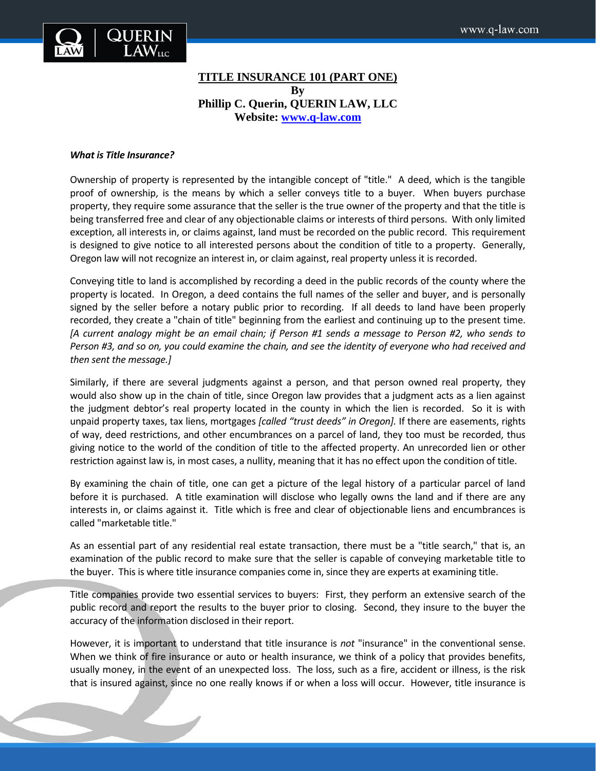

# **TITLE INSURANCE 101 (PART ONE) By Phillip C. Querin, QUERIN LAW, LLC Website: [www.q-law.com](http://www.q-law.com/)**

#### *What is Title Insurance?*

Ownership of property is represented by the intangible concept of "title." A deed, which is the tangible proof of ownership, is the means by which a seller conveys title to a buyer. When buyers purchase property, they require some assurance that the seller is the true owner of the property and that the title is being transferred free and clear of any objectionable claims or interests of third persons. With only limited exception, all interests in, or claims against, land must be recorded on the public record. This requirement is designed to give notice to all interested persons about the condition of title to a property. Generally, Oregon law will not recognize an interest in, or claim against, real property unless it is recorded.

Conveying title to land is accomplished by recording a deed in the public records of the county where the property is located. In Oregon, a deed contains the full names of the seller and buyer, and is personally signed by the seller before a notary public prior to recording. If all deeds to land have been properly recorded, they create a "chain of title" beginning from the earliest and continuing up to the present time. *[A current analogy might be an email chain; if Person #1 sends a message to Person #2, who sends to Person #3, and so on, you could examine the chain, and see the identity of everyone who had received and then sent the message.]* 

Similarly, if there are several judgments against a person, and that person owned real property, they would also show up in the chain of title, since Oregon law provides that a judgment acts as a lien against the judgment debtor's real property located in the county in which the lien is recorded. So it is with unpaid property taxes, tax liens, mortgages *[called "trust deeds" in Oregon].* If there are easements, rights of way, deed restrictions, and other encumbrances on a parcel of land, they too must be recorded, thus giving notice to the world of the condition of title to the affected property. An unrecorded lien or other restriction against law is, in most cases, a nullity, meaning that it has no effect upon the condition of title.

By examining the chain of title, one can get a picture of the legal history of a particular parcel of land before it is purchased. A title examination will disclose who legally owns the land and if there are any interests in, or claims against it. Title which is free and clear of objectionable liens and encumbrances is called "marketable title."

As an essential part of any residential real estate transaction, there must be a "title search," that is, an examination of the public record to make sure that the seller is capable of conveying marketable title to the buyer. This is where title insurance companies come in, since they are experts at examining title.

Title companies provide two essential services to buyers: First, they perform an extensive search of the public record and report the results to the buyer prior to closing. Second, they insure to the buyer the accuracy of the information disclosed in their report.

However, it is important to understand that title insurance is *not* "insurance" in the conventional sense. When we think of fire insurance or auto or health insurance, we think of a policy that provides benefits, usually money, in the event of an unexpected loss. The loss, such as a fire, accident or illness, is the risk that is insured against, since no one really knows if or when a loss will occur. However, title insurance is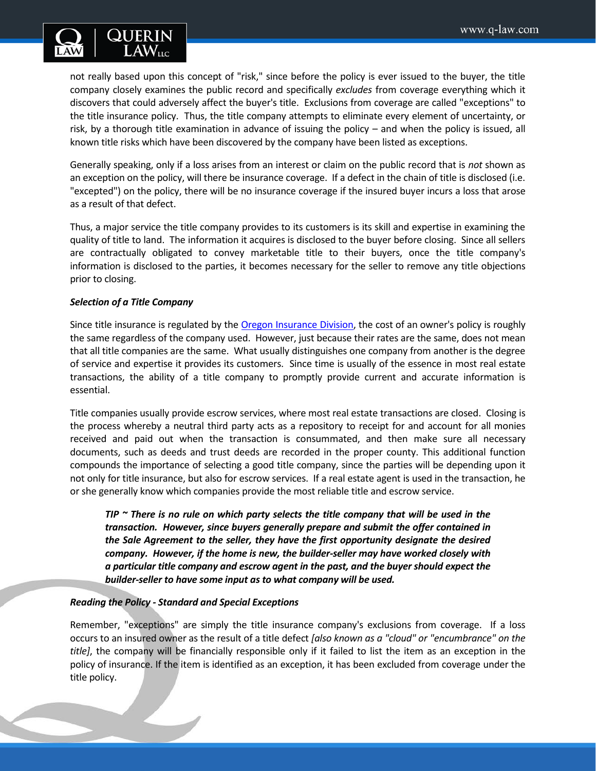

not really based upon this concept of "risk," since before the policy is ever issued to the buyer, the title company closely examines the public record and specifically *excludes* from coverage everything which it discovers that could adversely affect the buyer's title. Exclusions from coverage are called "exceptions" to the title insurance policy. Thus, the title company attempts to eliminate every element of uncertainty, or risk, by a thorough title examination in advance of issuing the policy – and when the policy is issued, all known title risks which have been discovered by the company have been listed as exceptions.

Generally speaking, only if a loss arises from an interest or claim on the public record that is *not* shown as an exception on the policy, will there be insurance coverage. If a defect in the chain of title is disclosed (i.e. "excepted") on the policy, there will be no insurance coverage if the insured buyer incurs a loss that arose as a result of that defect.

Thus, a major service the title company provides to its customers is its skill and expertise in examining the quality of title to land. The information it acquires is disclosed to the buyer before closing. Since all sellers are contractually obligated to convey marketable title to their buyers, once the title company's information is disclosed to the parties, it becomes necessary for the seller to remove any title objections prior to closing.

## *Selection of a Title Company*

Since title insurance is regulated by th[e Oregon Insurance Division,](http://www.cbs.state.or.us/ins/) the cost of an owner's policy is roughly the same regardless of the company used. However, just because their rates are the same, does not mean that all title companies are the same. What usually distinguishes one company from another is the degree of service and expertise it provides its customers. Since time is usually of the essence in most real estate transactions, the ability of a title company to promptly provide current and accurate information is essential.

Title companies usually provide escrow services, where most real estate transactions are closed. Closing is the process whereby a neutral third party acts as a repository to receipt for and account for all monies received and paid out when the transaction is consummated, and then make sure all necessary documents, such as deeds and trust deeds are recorded in the proper county. This additional function compounds the importance of selecting a good title company, since the parties will be depending upon it not only for title insurance, but also for escrow services. If a real estate agent is used in the transaction, he or she generally know which companies provide the most reliable title and escrow service.

*TIP ~ There is no rule on which party selects the title company that will be used in the transaction. However, since buyers generally prepare and submit the offer contained in the Sale Agreement to the seller, they have the first opportunity designate the desired company. However, if the home is new, the builder-seller may have worked closely with a particular title company and escrow agent in the past, and the buyer should expect the builder-seller to have some input as to what company will be used.*

### *Reading the Policy - Standard and Special Exceptions*

Remember, "exceptions" are simply the title insurance company's exclusions from coverage. If a loss occurs to an insured owner as the result of a title defect *[also known as a "cloud" or "encumbrance" on the title]*, the company will be financially responsible only if it failed to list the item as an exception in the policy of insurance. If the item is identified as an exception, it has been excluded from coverage under the title policy.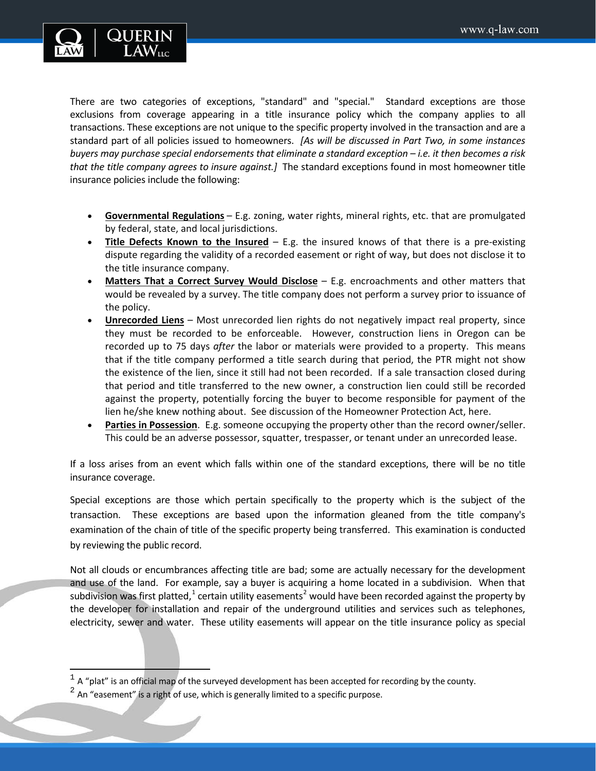

There are two categories of exceptions, "standard" and "special." Standard exceptions are those exclusions from coverage appearing in a title insurance policy which the company applies to all transactions. These exceptions are not unique to the specific property involved in the transaction and are a standard part of all policies issued to homeowners. *[As will be discussed in Part Two, in some instances buyers may purchase special endorsements that eliminate a standard exception – i.e. it then becomes a risk that the title company agrees to insure against.]* The standard exceptions found in most homeowner title insurance policies include the following:

- **Governmental Regulations** E.g. zoning, water rights, mineral rights, etc. that are promulgated by federal, state, and local jurisdictions.
- **Title Defects Known to the Insured** E.g. the insured knows of that there is a pre-existing dispute regarding the validity of a recorded easement or right of way, but does not disclose it to the title insurance company.
- **Matters That a Correct Survey Would Disclose** E.g. encroachments and other matters that would be revealed by a survey. The title company does not perform a survey prior to issuance of the policy.
- **Unrecorded Liens** Most unrecorded lien rights do not negatively impact real property, since they must be recorded to be enforceable. However, construction liens in Oregon can be recorded up to 75 days *after* the labor or materials were provided to a property. This means that if the title company performed a title search during that period, the PTR might not show the existence of the lien, since it still had not been recorded. If a sale transaction closed during that period and title transferred to the new owner, a construction lien could still be recorded against the property, potentially forcing the buyer to become responsible for payment of the lien he/she knew nothing about. See discussion of the Homeowner Protection Act, here.
- **Parties in Possession**. E.g. someone occupying the property other than the record owner/seller. This could be an adverse possessor, squatter, trespasser, or tenant under an unrecorded lease.

If a loss arises from an event which falls within one of the standard exceptions, there will be no title insurance coverage.

Special exceptions are those which pertain specifically to the property which is the subject of the transaction. These exceptions are based upon the information gleaned from the title company's examination of the chain of title of the specific property being transferred. This examination is conducted by reviewing the public record.

Not all clouds or encumbrances affecting title are bad; some are actually necessary for the development and use of the land. For example, say a buyer is acquiring a home located in a subdivision. When that subdivision was first platted,<sup>[1](#page-2-0)</sup> certain utility easements<sup>[2](#page-2-1)</sup> would have been recorded against the property by the developer for installation and repair of the underground utilities and services such as telephones, electricity, sewer and water. These utility easements will appear on the title insurance policy as special

 $\overline{\phantom{a}}$ 

<span id="page-2-0"></span> $1$  A "plat" is an official map of the surveyed development has been accepted for recording by the county.

<span id="page-2-1"></span> $2$  An "easement" is a right of use, which is generally limited to a specific purpose.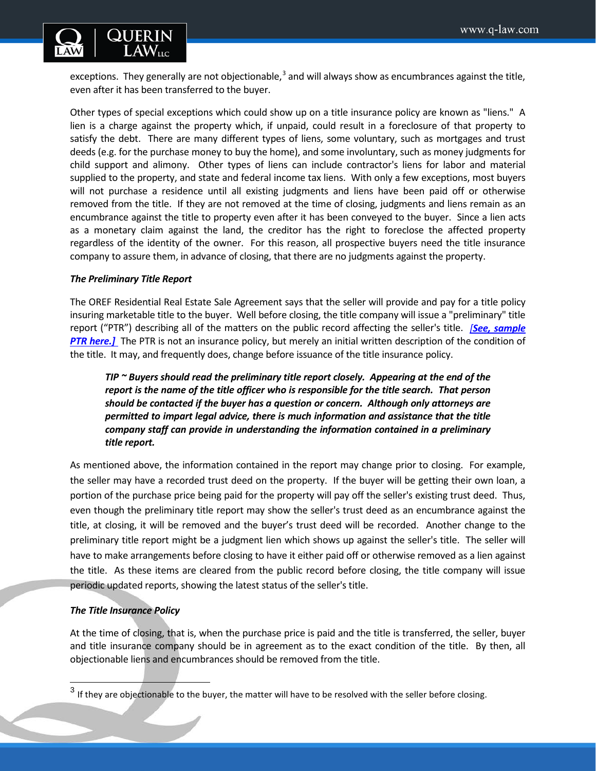

exceptions. They generally are not objectionable, $3$  and will always show as encumbrances against the title, even after it has been transferred to the buyer.

Other types of special exceptions which could show up on a title insurance policy are known as "liens." A lien is a charge against the property which, if unpaid, could result in a foreclosure of that property to satisfy the debt. There are many different types of liens, some voluntary, such as mortgages and trust deeds (e.g. for the purchase money to buy the home), and some involuntary, such as money judgments for child support and alimony. Other types of liens can include contractor's liens for labor and material supplied to the property, and state and federal income tax liens. With only a few exceptions, most buyers will not purchase a residence until all existing judgments and liens have been paid off or otherwise removed from the title. If they are not removed at the time of closing, judgments and liens remain as an encumbrance against the title to property even after it has been conveyed to the buyer. Since a lien acts as a monetary claim against the land, the creditor has the right to foreclose the affected property regardless of the identity of the owner. For this reason, all prospective buyers need the title insurance company to assure them, in advance of closing, that there are no judgments against the property.

### *The Preliminary Title Report*

The OREF Residential Real Estate Sale Agreement says that the seller will provide and pay for a title policy insuring marketable title to the buyer. Well before closing, the title company will issue a "preliminary" title report ("PTR") describing all of the matters on the public record affecting the seller's title. *[[See, sample](http://www.beavertonoregon.gov/DocumentCenter/View/4468)*  **PTR here.**] The PTR is not an insurance policy, but merely an initial written description of the condition of the title. It may, and frequently does, change before issuance of the title insurance policy.

*TIP ~ Buyers should read the preliminary title report closely. Appearing at the end of the report is the name of the title officer who is responsible for the title search. That person should be contacted if the buyer has a question or concern. Although only attorneys are permitted to impart legal advice, there is much information and assistance that the title company staff can provide in understanding the information contained in a preliminary title report.*

As mentioned above, the information contained in the report may change prior to closing. For example, the seller may have a recorded trust deed on the property. If the buyer will be getting their own loan, a portion of the purchase price being paid for the property will pay off the seller's existing trust deed. Thus, even though the preliminary title report may show the seller's trust deed as an encumbrance against the title, at closing, it will be removed and the buyer's trust deed will be recorded. Another change to the preliminary title report might be a judgment lien which shows up against the seller's title. The seller will have to make arrangements before closing to have it either paid off or otherwise removed as a lien against the title. As these items are cleared from the public record before closing, the title company will issue periodic updated reports, showing the latest status of the seller's title.

### *The Title Insurance Policy*

 $\overline{\phantom{a}}$ 

At the time of closing, that is, when the purchase price is paid and the title is transferred, the seller, buyer and title insurance company should be in agreement as to the exact condition of the title. By then, all objectionable liens and encumbrances should be removed from the title.

<span id="page-3-0"></span> $3$  If they are objectionable to the buyer, the matter will have to be resolved with the seller before closing.